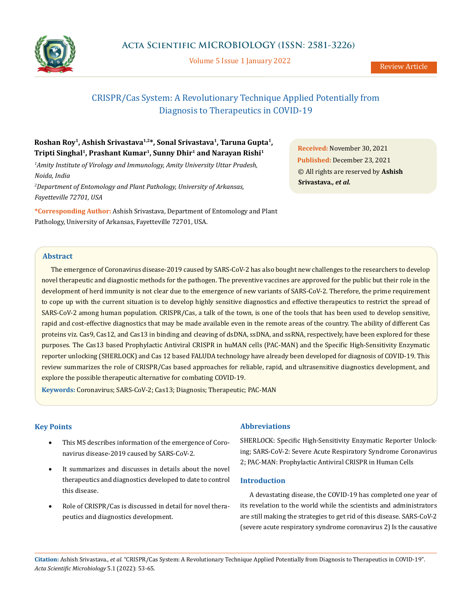

Volume 5 Issue 1 January 2022

# CRISPR/Cas System: A Revolutionary Technique Applied Potentially from Diagnosis to Therapeutics in COVID-19

# **Roshan Roy1, Ashish Srivastava1,2\*, Sonal Srivastava1, Taruna Gupta1, Tripti Singhal1, Prashant Kumar1, Sunny Dhir1 and Narayan Rishi1**

*1 Amity Institute of Virology and Immunology, Amity University Uttar Pradesh, Noida, India*

*2 Department of Entomology and Plant Pathology, University of Arkansas, Fayetteville 72701, USA*

**\*Corresponding Author:** Ashish Srivastava, Department of Entomology and Plant Pathology, University of Arkansas, Fayetteville 72701, USA.

**Received:** November 30, 2021 **Published:** December 23, 2021 © All rights are reserved by **Ashish Srivastava***., et al.*

# **Abstract**

The emergence of Coronavirus disease-2019 caused by SARS-CoV-2 has also bought new challenges to the researchers to develop novel therapeutic and diagnostic methods for the pathogen. The preventive vaccines are approved for the public but their role in the development of herd immunity is not clear due to the emergence of new variants of SARS-CoV-2. Therefore, the prime requirement to cope up with the current situation is to develop highly sensitive diagnostics and effective therapeutics to restrict the spread of SARS-CoV-2 among human population. CRISPR/Cas, a talk of the town, is one of the tools that has been used to develop sensitive, rapid and cost-effective diagnostics that may be made available even in the remote areas of the country. The ability of different Cas proteins viz. Cas9, Cas12, and Cas13 in binding and cleaving of dsDNA, ssDNA, and ssRNA, respectively, have been explored for these purposes. The Cas13 based Prophylactic Antiviral CRISPR in huMAN cells (PAC-MAN) and the Specific High-Sensitivity Enzymatic reporter unlocking (SHERLOCK) and Cas 12 based FALUDA technology have already been developed for diagnosis of COVID-19. This review summarizes the role of CRISPR/Cas based approaches for reliable, rapid, and ultrasensitive diagnostics development, and explore the possible therapeutic alternative for combating COVID-19.

**Keywords:** Coronavirus; SARS-CoV-2; Cas13; Diagnosis; Therapeutic; PAC-MAN

# **Key Points**

- This MS describes information of the emergence of Coronavirus disease-2019 caused by SARS-CoV-2.
- It summarizes and discusses in details about the novel therapeutics and diagnostics developed to date to control this disease.
- Role of CRISPR/Cas is discussed in detail for novel therapeutics and diagnostics development.

# **Abbreviations**

SHERLOCK: Specific High-Sensitivity Enzymatic Reporter Unlocking; SARS-CoV-2: Severe Acute Respiratory Syndrome Coronavirus 2; PAC-MAN: Prophylactic Antiviral CRISPR in Human Cells

# **Introduction**

A devastating disease, the COVID-19 has completed one year of its revelation to the world while the scientists and administrators are still making the strategies to get rid of this disease. SARS-CoV-2 (severe acute respiratory syndrome coronavirus 2) Is the causative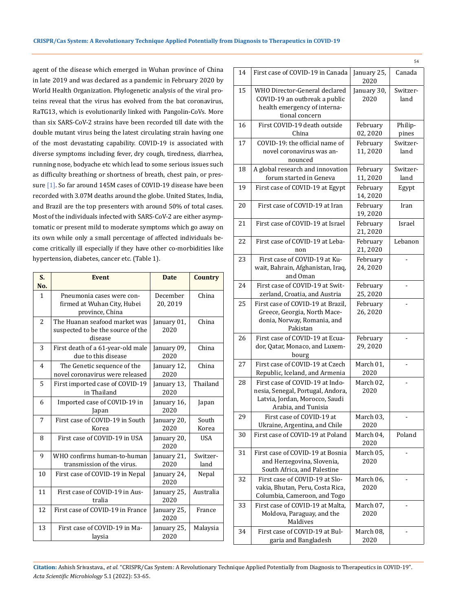agent of the disease which emerged in Wuhan province of China in late 2019 and was declared as a pandemic in February 2020 by World Health Organization. Phylogenetic analysis of the viral proteins reveal that the virus has evolved from the bat coronavirus, RaTG13, which is evolutionarily linked with Pangolin-CoVs. More than six SARS-CoV-2 strains have been recorded till date with the double mutant virus being the latest circulating strain having one of the most devastating capability. COVID-19 is associated with diverse symptoms including fever, dry cough, tiredness, diarrhea, running nose, bodyache etc which lead to some serious issues such as difficulty breathing or shortness of breath, chest pain, or pressure [1]. So far around 145M cases of COVID-19 disease have been recorded with 3.07M deaths around the globe. United States, India, and Brazil are the top presenters with around 50% of total cases. Most of the individuals infected with SARS-CoV-2 are either asymptomatic or present mild to moderate symptoms which go away on its own while only a small percentage of affected individuals become critically ill especially if they have other co-morbidities like hypertension, diabetes, cancer etc. (Table 1).

| S.<br>No.      | <b>Event</b>                                                                  | <b>Date</b>          | <b>Country</b>   |
|----------------|-------------------------------------------------------------------------------|----------------------|------------------|
| 1              | Pneumonia cases were con-<br>firmed at Wuhan City, Hubei<br>province, China   | December<br>20, 2019 | China            |
| 2              | The Huanan seafood market was<br>suspected to be the source of the<br>disease | January 01,<br>2020  | China            |
| 3              | First death of a 61-year-old male<br>due to this disease                      | January 09,<br>2020  | China            |
| $\overline{4}$ | The Genetic sequence of the<br>novel coronavirus were released                | January 12,<br>2020  | China            |
| 5              | First imported case of COVID-19<br>in Thailand                                | January 13,<br>2020  | Thailand         |
| 6              | Imported case of COVID-19 in<br>Japan                                         | January 16,<br>2020  | Japan            |
| 7              | First case of COVID-19 in South<br>Korea                                      | January 20,<br>2020  | South<br>Korea   |
| 8              | First case of COVID-19 in USA                                                 | January 20,<br>2020  | <b>USA</b>       |
| 9              | WHO confirms human-to-human<br>transmission of the virus.                     | January 21,<br>2020  | Switzer-<br>land |
| 10             | First case of COVID-19 in Nepal                                               | January 24,<br>2020  | Nepal            |
| 11             | First case of COVID-19 in Aus-<br>tralia                                      | January 25,<br>2020  | Australia        |
| 12             | First case of COVID-19 in France                                              | January 25,<br>2020  | France           |
| 13             | First case of COVID-19 in Ma-<br>laysia                                       | January 25,<br>2020  | Malaysia         |

|    |                                                                                                                               |                     | 54               |
|----|-------------------------------------------------------------------------------------------------------------------------------|---------------------|------------------|
| 14 | First case of COVID-19 in Canada                                                                                              | January 25,<br>2020 | Canada           |
| 15 | WHO Director-General declared<br>COVID-19 an outbreak a public<br>health emergency of interna-                                | January 30,<br>2020 | Switzer-<br>land |
|    | tional concern                                                                                                                |                     |                  |
| 16 | First COVID-19 death outside<br>February<br>China<br>02,2020                                                                  |                     | Philip-<br>pines |
| 17 | COVID-19: the official name of<br>novel coronavirus was an-<br>nounced                                                        | February<br>11,2020 | Switzer-<br>land |
| 18 | A global research and innovation<br>forum started in Geneva                                                                   | February<br>11,2020 | Switzer-<br>land |
| 19 | First case of COVID-19 at Egypt                                                                                               | February<br>14,2020 | Egypt            |
| 20 | First case of COVID-19 at Iran                                                                                                | February<br>19,2020 | Iran             |
| 21 | First case of COVID-19 at Israel                                                                                              | February<br>21,2020 | Israel           |
| 22 | First case of COVID-19 at Leba-<br>non                                                                                        | February<br>21,2020 | Lebanon          |
| 23 | First case of COVID-19 at Ku-<br>wait, Bahrain, Afghanistan, Iraq,<br>and Oman                                                | February<br>24,2020 |                  |
| 24 | First case of COVID-19 at Swit-<br>zerland, Croatia, and Austria                                                              | February<br>25,2020 |                  |
| 25 | First case of COVID-19 at Brazil,<br>Greece, Georgia, North Mace-<br>donia, Norway, Romania, and<br>Pakistan                  | February<br>26,2020 |                  |
| 26 | First case of COVID-19 at Ecua-<br>dor, Qatar, Monaco, and Luxem-<br>bourg                                                    | February<br>29,2020 |                  |
| 27 | First case of COVID-19 at Czech<br>Republic, Iceland, and Armenia                                                             | March 01,<br>2020   |                  |
| 28 | First case of COVID-19 at Indo-<br>nesia, Senegal, Portugal, Andora,<br>Latvia, Jordan, Morocco, Saudi<br>Arabia, and Tunisia | March 02,<br>2020   |                  |
| 29 | First case of COVID-19 at<br>Ukraine, Argentina, and Chile                                                                    | March 03,<br>2020   |                  |
| 30 | First case of COVID-19 at Poland                                                                                              | March 04,<br>2020   | Poland           |
| 31 | First case of COVID-19 at Bosnia<br>and Herzegovina, Slovenia,<br>South Africa, and Palestine                                 | March 05,<br>2020   |                  |
| 32 | First case of COVID-19 at Slo-<br>vakia, Bhutan, Peru, Costa Rica,<br>Columbia, Cameroon, and Togo                            | March 06,<br>2020   |                  |
| 33 | First case of COVID-19 at Malta,<br>Moldova, Paraguay, and the<br>Maldives                                                    | March 07,<br>2020   |                  |
| 34 | First case of COVID-19 at Bul-<br>garia and Bangladesh                                                                        | March 08,<br>2020   |                  |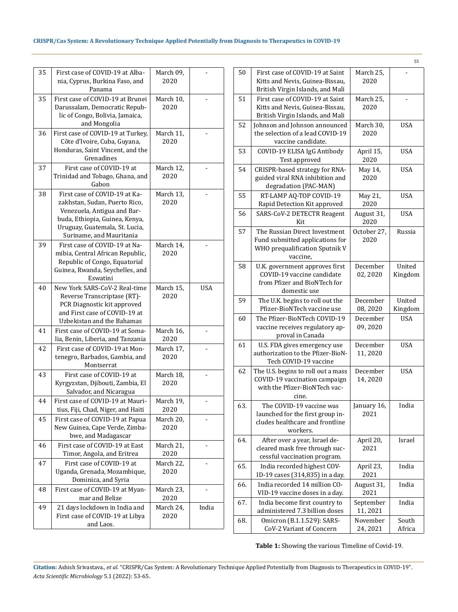# **CRISPR/Cas System: A Revolutionary Technique Applied Potentially from Diagnosis to Therapeutics in COVID-19**

| 35 | First case of COVID-19 at Alba-<br>nia, Cyprus, Burkina Faso, and<br>Panama                                                                                                                   | March 09,<br>2020 |       |
|----|-----------------------------------------------------------------------------------------------------------------------------------------------------------------------------------------------|-------------------|-------|
| 35 | First case of COVID-19 at Brunei<br>Darussalam, Democratic Repub-<br>lic of Congo, Bolivia, Jamaica,<br>and Mongolia                                                                          | March 10,<br>2020 |       |
| 36 | First case of COVID-19 at Turkey,<br>Côte d'Ivoire, Cuba, Guyana,<br>Honduras, Saint Vincent, and the<br>Grenadines                                                                           | March 11,<br>2020 |       |
| 37 | First case of COVID-19 at<br>Trinidad and Tobago, Ghana, and<br>Gabon                                                                                                                         | March 12,<br>2020 |       |
| 38 | First case of COVID-19 at Ka-<br>zakhstan, Sudan, Puerto Rico,<br>Venezuela, Antigua and Bar-<br>buda, Ethiopia, Guinea, Kenya,<br>Uruguay, Guatemala, St. Lucia,<br>Suriname, and Mauritania | March 13,<br>2020 |       |
| 39 | First case of COVID-19 at Na-<br>mibia, Central African Republic,<br>Republic of Congo, Equatorial<br>Guinea, Rwanda, Seychelles, and<br>Eswatini                                             | March 14,<br>2020 |       |
| 40 | New York SARS-CoV-2 Real-time<br>Reverse Transcriptase (RT)-<br>PCR Diagnostic kit approved<br>and First case of COVID-19 at<br>Uzbekistan and the Bahamas                                    | March 15,<br>2020 | USA   |
| 41 | First case of COVID-19 at Soma-<br>lia, Benin, Liberia, and Tanzania                                                                                                                          | March 16,<br>2020 |       |
| 42 | First case of COVID-19 at Mon-<br>tenegro, Barbados, Gambia, and<br>Montserrat                                                                                                                | March 17,<br>2020 |       |
| 43 | First case of COVID-19 at<br>Kyrgyzstan, Djibouti, Zambia, El<br>Salvador, and Nicaragua                                                                                                      | March 18,<br>2020 |       |
| 44 | First case of COVID-19 at Mauri-<br>tius, Fiji, Chad, Niger, and Haiti                                                                                                                        | March 19,<br>2020 |       |
| 45 | First case of COVID-19 at Papua<br>New Guinea, Cape Verde, Zimba-<br>bwe, and Madagascar                                                                                                      | March 20,<br>2020 |       |
| 46 | First case of COVID-19 at East<br>Timor, Angola, and Eritrea                                                                                                                                  | March 21,<br>2020 |       |
| 47 | First case of COVID-19 at<br>Uganda, Grenada, Mozambique,<br>Dominica, and Syria                                                                                                              | March 22,<br>2020 |       |
| 48 | First case of COVID-19 at Myan-<br>mar and Belize                                                                                                                                             | March 23,<br>2020 |       |
| 49 | 21 days lockdown in India and<br>First case of COVID-19 at Libya<br>and Laos.                                                                                                                 | March 24,<br>2020 | India |

|     |                                                                                                                |                      | 55                |
|-----|----------------------------------------------------------------------------------------------------------------|----------------------|-------------------|
| 50  | First case of COVID-19 at Saint<br>Kitts and Nevis, Guinea-Bissau,<br>British Virgin Islands, and Mali         | March 25,<br>2020    |                   |
| 51  | First case of COVID-19 at Saint<br>Kitts and Nevis, Guinea-Bissau,<br>British Virgin Islands, and Mali         | March 25,<br>2020    |                   |
| 52  | Johnson and Johnson announced<br>the selection of a lead COVID-19<br>vaccine candidate.                        | March 30,<br>2020    | <b>USA</b>        |
| 53  | COVID-19 ELISA IgG Antibody<br>Test approved                                                                   | April 15,<br>2020    | <b>USA</b>        |
| 54  | CRISPR-based strategy for RNA-<br>guided viral RNA inhibition and<br>degradation (PAC-MAN)                     | May 14,<br>2020      | USA               |
| 55  | RT-LAMP AQ-TOP COVID-19<br>Rapid Detection Kit approved                                                        | May 21,<br>2020      | <b>USA</b>        |
| 56  | SARS-CoV-2 DETECTR Reagent<br>Kit                                                                              | August 31,<br>2020   | USA               |
| 57  | The Russian Direct Investment<br>Fund submitted applications for<br>WHO prequalification Sputnik V<br>vaccine, | October 27,<br>2020  | Russia            |
| 58  | U.K. government approves first<br>COVID-19 vaccine candidate<br>from Pfizer and BioNTech for<br>domestic use   | December<br>02,2020  | United<br>Kingdom |
| 59  | The U.K. begins to roll out the<br>Pfizer-BioNTech vaccine use                                                 | December<br>08, 2020 | United<br>Kingdom |
| 60  | The Pfizer-BioNTech COVID-19<br>vaccine receives regulatory ap-<br>proval in Canada                            | December<br>09,2020  | <b>USA</b>        |
| 61  | U.S. FDA gives emergency use<br>authorization to the Pfizer-BioN-<br>Tech COVID-19 vaccine                     | December<br>11,2020  | <b>USA</b>        |
| 62  | The U.S. begins to roll out a mass<br>COVID-19 vaccination campaign<br>with the Pfizer-BioNTech vac-<br>cine.  | December<br>14,2020  | <b>USA</b>        |
| 63. | The COVID-19 vaccine was<br>launched for the first group in-<br>cludes healthcare and frontline<br>workers.    | January 16,<br>2021  | India             |
| 64. | After over a year, Israel de-<br>cleared mask free through suc-<br>cessful vaccination program.                | April 20,<br>2021    | Israel            |
| 65. | India recorded highest COV-<br>ID-19 cases (314,835) in a day.                                                 | April 23,<br>2021    | India             |
| 66. | India recorded 14 million CO-<br>VID-19 vaccine doses in a day.                                                | August 31,<br>2021   | India             |
| 67. | India become first country to<br>administered 7.3 billion doses                                                | September<br>11,2021 | India             |
| 68. | Omicron (B.1.1.529): SARS-<br>CoV-2 Variant of Concern                                                         | November<br>24, 2021 | South<br>Africa   |

 **Table 1:** Showing the various Timeline of Covid-19.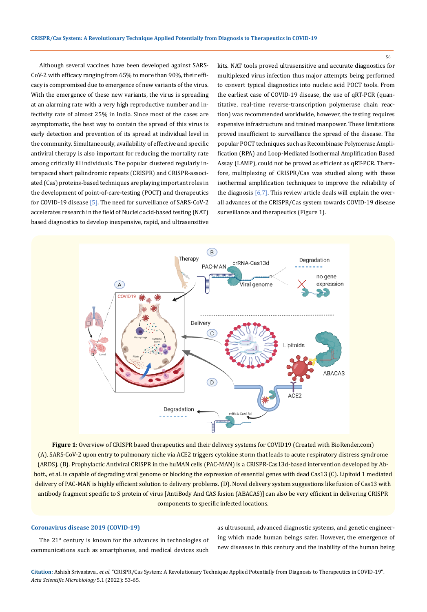Although several vaccines have been developed against SARS-CoV-2 with efficacy ranging from 65% to more than 90%, their efficacy is compromised due to emergence of new variants of the virus. With the emergence of these new variants, the virus is spreading at an alarming rate with a very high reproductive number and infectivity rate of almost 25% in India. Since most of the cases are asymptomatic, the best way to contain the spread of this virus is early detection and prevention of its spread at individual level in the community. Simultaneously, availability of effective and specific antiviral therapy is also important for reducing the mortality rate among critically ill individuals. The popular clustered regularly interspaced short palindromic repeats (CRISPR) and CRISPR-associated (Cas) proteins-based techniques are playing important roles in the development of point-of-care-testing (POCT) and therapeutics for COVID-19 disease [5]. The need for surveillance of SARS-CoV-2 accelerates research in the field of Nucleic acid-based testing (NAT) based diagnostics to develop inexpensive, rapid, and ultrasensitive kits. NAT tools proved ultrasensitive and accurate diagnostics for multiplexed virus infection thus major attempts being performed to convert typical diagnostics into nucleic acid POCT tools. From the earliest case of COVID-19 disease, the use of qRT-PCR (quantitative, real-time reverse-transcription polymerase chain reaction) was recommended worldwide, however, the testing requires expensive infrastructure and trained manpower. These limitations proved insufficient to surveillance the spread of the disease. The popular POCT techniques such as Recombinase Polymerase Amplification (RPA) and Loop-Mediated Isothermal Amplification Based Assay (LAMP), could not be proved as efficient as qRT-PCR. Therefore, multiplexing of CRISPR/Cas was studied along with these isothermal amplification techniques to improve the reliability of the diagnosis  $[6,7]$ . This review article deals will explain the overall advances of the CRISPR/Cas system towards COVID-19 disease surveillance and therapeutics (Figure 1).



**Figure 1**: Overview of CRISPR based therapeutics and their delivery systems for COVID19 (Created with BioRender.com) (A). SARS-CoV-2 upon entry to pulmonary niche via ACE2 triggers cytokine storm that leads to acute respiratory distress syndrome (ARDS). (B). Prophylactic Antiviral CRISPR in the huMAN cells (PAC-MAN) is a CRISPR-Cas13d-based intervention developed by Abbott., et al. is capable of degrading viral genome or blocking the expression of essential genes with dead Cas13 (C). Lipitoid 1 mediated delivery of PAC-MAN is highly efficient solution to delivery problems. (D). Novel delivery system suggestions like fusion of Cas13 with antibody fragment specific to S protein of virus [AntiBody And CAS fusion (ABACAS)] can also be very efficient in delivering CRISPR components to specific infected locations.

# **Coronavirus disease 2019 (COVID-19)**

The 21<sup>st</sup> century is known for the advances in technologies of communications such as smartphones, and medical devices such

as ultrasound, advanced diagnostic systems, and genetic engineering which made human beings safer. However, the emergence of new diseases in this century and the inability of the human being

**Citation:** Ashish Srivastava*., et al.* "CRISPR/Cas System: A Revolutionary Technique Applied Potentially from Diagnosis to Therapeutics in COVID-19". *Acta Scientific Microbiology* 5.1 (2022): 53-65.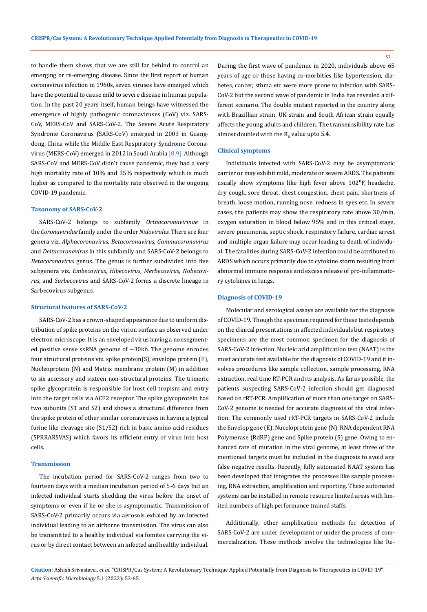to handle them shows that we are still far behind to control an emerging or re-emerging disease. Since the first report of human coronavirus infection in 1960s, seven viruses have emerged which have the potential to cause mild to severe disease in human population. In the past 20 years itself, human beings have witnessed the emergence of highly pathogenic coronaviruses (CoV) viz. SARS-CoV, MERS-CoV and SARS-CoV-2. The Severe Acute Respiratory Syndrome Coronavirus (SARS-CoV) emerged in 2003 in Guangdong, China while the Middle East Respiratory Syndrome Coronavirus (MERS-CoV) emerged in 2012 in Saudi Arabia [8,9]. Although SARS-CoV and MERS-CoV didn't cause pandemic, they had a very high mortality rate of 10% and 35% respectively which is much higher as compared to the mortality rate observed in the ongoing COVID-19 pandemic.

#### **Taxonomy of SARS-CoV-2**

SARS-CoV-2 belongs to subfamily *Orthocoronavirinae* in the *Coronaviridae* family under the order*Nidovirales*. There are four genera viz. *Alphacoronavirus, Betacoronavirus, Gammacoronavirus* and *Deltacoronavirus* in this subfamily and SARS-CoV-2 belongs to *Betacoronavirus* genus. The genus is further subdivided into five subgenera viz. *Embecovirus*, *Hibecovirus*, *Merbecovirus*, *Nobecovirus*, and *Sarbecovirus* and SARS-CoV-2 forms a discrete lineage in Sarbecovirus subgenus.

#### **Structural features of SARS-CoV-2**

SARS-CoV-2 has a crown-shaped appearance due to uniform distribution of spike proteins on the virion surface as observed under electron microscope. It is an enveloped virus having a nonsegmented positive sense ssRNA genome of ~30kb. The genome encodes four structural proteins viz. spike protein(S), envelope protein (E), Nucleoprotein (N) and Matrix membrane protein (M) in addition to six accessory and sixteen non-structural proteins. The trimeric spike glycoprotein is responsible for host cell tropism and entry into the target cells via ACE2 receptor. The spike glycoprotein has two subunits (S1 and S2) and shows a structural difference from the spike protein of other similar coronaviruses in having a typical furine like cleavage site (S1/S2) rich in basic amino acid residues (SPRRARSVAS) which favors its efficient entry of virus into host cells.

## **Transmission**

The incubation period for SARS-CoV-2 ranges from two to fourteen days with a median incubation period of 5-6 days but an infected individual starts shedding the virus before the onset of symptoms or even if he or she is asymptomatic. Transmission of SARS-CoV-2 primarily occurs via aerosols exhaled by an infected individual leading to an airborne transmission. The virus can also be transmitted to a healthy individual via fomites carrying the virus or by direct contact between an infected and healthy individual.

During the first wave of pandemic in 2020, individuals above 65 years of age or those having co-morbities like hypertension, diabetes, cancer, sthma etc were more prone to infection with SARS-CoV-2 but the second wave of pandemic in India has revealed a different scenario. The double mutant reported in the country along with Brazillian strain, UK strain and South African strain equally affects the young adults and children. The transmissibility rate has almost doubled with the  $\mathtt{R}_0$  value upto 5.4.

#### **Clinical symptoms**

Individuals infected with SARS-CoV-2 may be asymptomatic carrier or may exhibit mild, moderate or severe ARDS. The patients usually show symptoms like high fever above  $102^{\circ}$ F, headache, dry cough, sore throat, chest congestion, chest pain, shortness of breath, loose motion, running nose, redness in eyes etc. In severe cases, the patients may show the respiratory rate above 30/min, oxygen saturation in blood below 95% and in this critical stage, severe pneumonia, septic shock, respiratory failure, cardiac arrest and multiple organ failure may occur leading to death of individual. The fatalities during SARS-CoV-2 infection could be attributed to ARDS which occurs primarily due to cytokine storm resulting from abnormal immune response and excess release of pro-inflammatory cytokines in lungs.

### **Diagnosis of COVID-19**

Molecular and serological assays are available for the diagnosis of COVID-19. Though the specimen required for these tests depends on the clinical presentations in affected individuals but respiratory specimens are the most common specimen for the diagnosis of SARS-CoV-2 infection. Nucleic acid amplification test (NAAT) is the most accurate test available for the diagnosis of COVID-19 and it involves procedures like sample collection, sample processing, RNA extraction, real time RT-PCR and its analysis. As far as possible, the patients suspecting SARS-CoV-2 infection should get diagnosed based on rRT-PCR. Amplification of more than one target on SARS-CoV-2 genome is needed for accurate diagnosis of the viral infection. The commonly used rRT-PCR targets in SARS-CoV-2 include the Envelop gene (E). Nuceloprotein gene (N), RNA dependent RNA Polymerase (RdRP) gene and Spike protein (S) gene. Owing to enhanced rate of mutation in the viral genome, at least three of the mentioned targets must be included in the diagnosis to avoid any false negative results. Recently, fully automated NAAT system has been developed that integrates the processes like sample processing, RNA extraction, amplification and reporting. These automated systems can be installed in remote resource limited areas with limited numbers of high performance trained staffs.

Additionally, other amplification methods for detection of SARS-CoV-2 are under development or under the process of commercialization. These methods involve the technologies like Re-

**Citation:** Ashish Srivastava*., et al.* "CRISPR/Cas System: A Revolutionary Technique Applied Potentially from Diagnosis to Therapeutics in COVID-19". *Acta Scientific Microbiology* 5.1 (2022): 53-65.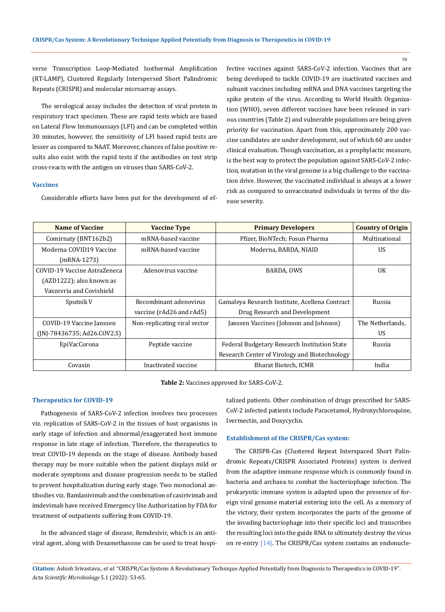verse Transcription Loop-Mediated Isothermal Amplification (RT-LAMP), Clustered Regularly Interspersed Short Palindromic Repeats (CRISPR) and molecular microarray assays.

The serological assay includes the detection of viral protein in respiratory tract specimen. These are rapid tests which are based on Lateral Flow Immunoassays (LFI) and can be completed within 30 minutes, however, the sensitivity of LFI based rapid tests are lesser as compared to NAAT. Moreover, chances of false positive results also exist with the rapid tests if the antibodies on test strip cross-reacts with the antigen on viruses than SARS-CoV-2.

#### **Vaccines**

Considerable efforts have been put for the development of ef-

fective vaccines against SARS-CoV-2 infection. Vaccines that are being developed to tackle COVID-19 are inactivated vaccines and subunit vaccines including mRNA and DNA vaccines targeting the spike protein of the virus. According to World Health Organization (WHO), seven different vaccines have been released in various countries (Table 2) and vulnerable populations are being given priority for vaccination. Apart from this, approximately 200 vaccine candidates are under development, out of which 60 are under clinical evaluation. Though vaccination, as a prophylactic measure, is the best way to protect the population against SARS-CoV-2 infection, mutation in the viral genome is a big challenge to the vaccination drive. However, the vaccinated individual is always at a lower risk as compared to unvaccinated individuals in terms of the disease severity.

| Name of Vaccine                            | <b>Vaccine Type</b>          | <b>Primary Developers</b>                      | <b>Country of Origin</b> |
|--------------------------------------------|------------------------------|------------------------------------------------|--------------------------|
| mRNA-based vaccine<br>Comirnaty (BNT162b2) |                              | Pfizer, BioNTech; Fosun Pharma                 | Multinational            |
| Moderna COVID19 Vaccine                    | mRNA-based vaccine           | Moderna, BARDA, NIAID                          | <b>US</b>                |
| (mRNA-1273)                                |                              |                                                |                          |
| COVID-19 Vaccine AstraZeneca               | Adenovirus vaccine           | BARDA, OWS                                     | UK                       |
| (AZD1222); also known as                   |                              |                                                |                          |
| Vaxzevria and Covishield                   |                              |                                                |                          |
| Sputnik V                                  | Recombinant adenovirus       | Gamaleya Research Institute, Acellena Contract | Russia                   |
|                                            | vaccine (rAd26 and rAd5)     | Drug Research and Development                  |                          |
| COVID-19 Vaccine Janssen                   | Non-replicating viral vector | Janssen Vaccines (Johnson and Johnson)         | The Netherlands.         |
| $(NI-78436735; Ad26.C0V2.S)$               |                              |                                                | US.                      |
| EpiVacCorona                               | Peptide vaccine              | Federal Budgetary Research Institution State   | Russia                   |
|                                            |                              | Research Center of Virology and Biotechnology  |                          |
| Covaxin                                    | Inactivated vaccine          | Bharat Biotech, ICMR                           | India                    |

**Table 2:** Vaccines approved for SARS-CoV-2.

# **Therapeutics for COVID-19**

Pathogenesis of SARS-CoV-2 infection involves two processes viz. replication of SARS-CoV-2 in the tissues of host organisms in early stage of infection and abnormal/exaggerated host immune response in late stage of infection. Therefore, the therapeutics to treat COVID-19 depends on the stage of disease. Antibody based therapy may be more suitable when the patient displays mild or moderate symptoms and disease progression needs to be stalled to prevent hospitalization during early stage. Two monoclonal antibodies viz. Bamlanivimab and the combination of casirivimab and imdevimab have received Emergency Use Authorization by FDA for treatment of outpatients suffering from COVID-19.

In the advanced stage of disease, Remdesivir, which is an antiviral agent, along with Dexamethasone can be used to treat hospitalized patients. Other combination of drugs prescribed for SARS-CoV-2 infected patients include Paracetamol, Hydroxychloroquine, Ivermectin, and Doxycyclin.

#### **Establishment of the CRISPR/Cas system:**

The CRISPR-Cas (Clustered Repeat Interspaced Short Palindromic Repeats/CRISPR Associated Proteins) system is derived from the adaptive immune response which is commonly found in bacteria and archaea to combat the bacteriophage infection. The prokaryotic immune system is adapted upon the presence of foreign viral genome material entering into the cell. As a memory of the victory, their system incorporates the parts of the genome of the invading bacteriophage into their specific loci and transcribes the resulting loci into the guide RNA to ultimately destroy the virus on re-entry [14]. The CRISPR/Cas system contains an endonucle-

**Citation:** Ashish Srivastava*., et al.* "CRISPR/Cas System: A Revolutionary Technique Applied Potentially from Diagnosis to Therapeutics in COVID-19". *Acta Scientific Microbiology* 5.1 (2022): 53-65.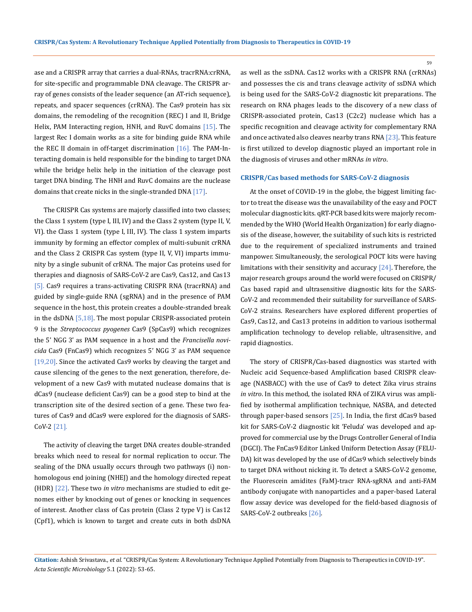ase and a CRISPR array that carries a dual-RNAs, tracrRNA:crRNA, for site-specific and programmable DNA cleavage. The CRISPR array of genes consists of the leader sequence (an AT-rich sequence), repeats, and spacer sequences (crRNA). The Cas9 protein has six domains, the remodeling of the recognition (REC) I and II, Bridge Helix, PAM Interacting region, HNH, and RuvC domains [15]. The largest Rec I domain works as a site for binding guide RNA while the REC II domain in off-target discrimination  $[16]$ . The PAM-Interacting domain is held responsible for the binding to target DNA while the bridge helix help in the initiation of the cleavage post target DNA binding. The HNH and RuvC domains are the nuclease domains that create nicks in the single-stranded DNA [17].

The CRISPR Cas systems are majorly classified into two classes; the Class 1 system (type I, III, IV) and the Class 2 system (type II, V, VI). the Class 1 system (type I, III, IV). The class 1 system imparts immunity by forming an effector complex of multi-subunit crRNA and the Class 2 CRISPR Cas system (type II, V, VI) imparts immunity by a single subunit of crRNA. The major Cas proteins used for therapies and diagnosis of SARS-CoV-2 are Cas9, Cas12, and Cas13 [5]. Cas9 requires a trans-activating CRISPR RNA (tracrRNA) and guided by single-guide RNA (sgRNA) and in the presence of PAM sequence in the host, this protein creates a double-stranded break in the dsDNA  $[5,18]$ . The most popular CRISPR-associated protein 9 is the *Streptococcus pyogenes* Cas9 (SpCas9) which recognizes the 5' NGG 3' as PAM sequence in a host and the *Francisella novicida* Cas9 (FnCas9) which recognizes 5' NGG 3' as PAM sequence [19,20]. Since the activated Cas9 works by cleaving the target and cause silencing of the genes to the next generation, therefore, development of a new Cas9 with mutated nuclease domains that is dCas9 (nuclease deficient Cas9) can be a good step to bind at the transcription site of the desired section of a gene. These two features of Cas9 and dCas9 were explored for the diagnosis of SARS-CoV-2 [21].

The activity of cleaving the target DNA creates double-stranded breaks which need to reseal for normal replication to occur. The sealing of the DNA usually occurs through two pathways (i) nonhomologous end joining (NHEJ) and the homology directed repeat (HDR) [22]. These two *in vitro* mechanisms are studied to edit genomes either by knocking out of genes or knocking in sequences of interest. Another class of Cas protein (Class 2 type V) is Cas12 (Cpf1), which is known to target and create cuts in both dsDNA

as well as the ssDNA. Cas12 works with a CRISPR RNA (crRNAs) and possesses the cis and trans cleavage activity of ssDNA which is being used for the SARS-CoV-2 diagnostic kit preparations. The research on RNA phages leads to the discovery of a new class of CRISPR-associated protein, Cas13 (C2c2) nuclease which has a specific recognition and cleavage activity for complementary RNA and once activated also cleaves nearby trans RNA [23]. This feature is first utilized to develop diagnostic played an important role in the diagnosis of viruses and other mRNAs *in vitro*.

# **CRISPR/Cas based methods for SARS-CoV-2 diagnosis**

At the onset of COVID-19 in the globe, the biggest limiting factor to treat the disease was the unavailability of the easy and POCT molecular diagnostic kits. qRT-PCR based kits were majorly recommended by the WHO (World Health Organization) for early diagnosis of the disease, however, the suitability of such kits is restricted due to the requirement of specialized instruments and trained manpower. Simultaneously, the serological POCT kits were having limitations with their sensitivity and accuracy  $[24]$ . Therefore, the major research groups around the world were focused on CRISPR/ Cas based rapid and ultrasensitive diagnostic kits for the SARS-CoV-2 and recommended their suitability for surveillance of SARS-CoV-2 strains. Researchers have explored different properties of Cas9, Cas12, and Cas13 proteins in addition to various isothermal amplification technology to develop reliable, ultrasensitive, and rapid diagnostics.

The story of CRISPR/Cas-based diagnostics was started with Nucleic acid Sequence-based Amplification based CRISPR cleavage (NASBACC) with the use of Cas9 to detect Zika virus strains *in vitro*. In this method, the isolated RNA of ZIKA virus was amplified by isothermal amplification technique, NASBA, and detected through paper-based sensors [25]. In India, the first dCas9 based kit for SARS-CoV-2 diagnostic kit 'Feluda' was developed and approved for commercial use by the Drugs Controller General of India (DGCI). The FnCas9 Editor Linked Uniform Detection Assay (FELU-DA) kit was developed by the use of dCas9 which selectively binds to target DNA without nicking it. To detect a SARS-CoV-2 genome, the Fluorescein amidites (FaM)-tracr RNA-sgRNA and anti-FAM antibody conjugate with nanoparticles and a paper-based Lateral flow assay device was developed for the field-based diagnosis of SARS-CoV-2 outbreaks [26].

**Citation:** Ashish Srivastava*., et al.* "CRISPR/Cas System: A Revolutionary Technique Applied Potentially from Diagnosis to Therapeutics in COVID-19". *Acta Scientific Microbiology* 5.1 (2022): 53-65.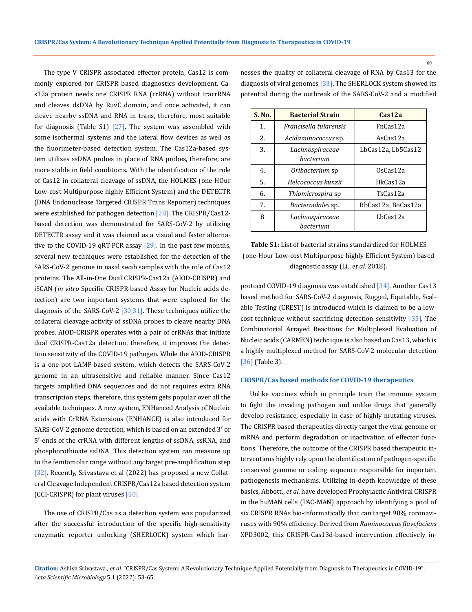The type V CRISPR associated effector protein, Cas12 is commonly explored for CRISPR based diagnostics development. Cas12a protein needs one CRISPR RNA (crRNA) without tracrRNA and cleaves dsDNA by RuvC domain, and once activated, it can cleave nearby ssDNA and RNA in trans, therefore, most suitable for diagnosis (Table S1)  $[27]$ . The system was assembled with some isothermal systems and the lateral flow devices as well as the fluorimeter-based detection system. The Cas12a-based system utilizes ssDNA probes in place of RNA probes, therefore, are more stable in field conditions. With the identification of the role of Cas12 in collateral cleavage of ssDNA, the HOLMES (one-HOur Low-cost Multipurpose highly Efficient System) and the DETECTR (DNA Endonuclease Targeted CRISPR Trans Reporter) techniques were established for pathogen detection [28]. The CRISPR/Cas12based detection was demonstrated for SARS-CoV-2 by utilizing DETECTR assay and it was claimed as a visual and faster alternative to the COVID-19 qRT-PCR assay [29]. In the past few months, several new techniques were established for the detection of the SARS-CoV-2 genome in nasal swab samples with the role of Cas12 proteins. The All-in-One Dual CRISPR-Cas12a (AIOD-CRISPR) and iSCAN (*in vitro* Specific CRISPR-based Assay for Nucleic acids detection) are two important systems that were explored for the diagnosis of the SARS-CoV-2 [30,31]. These techniques utilize the collateral cleavage activity of ssDNA probes to cleave nearby DNA probes. AIOD-CRISPR operates with a pair of crRNAs that initiate dual CRISPR-Cas12a detection, therefore, it improves the detection sensitivity of the COVID-19 pathogen. While the AIOD-CRISPR is a one-pot LAMP-based system, which detects the SARS-CoV-2 genome in an ultrasensitive and reliable manner. Since Cas12 targets amplified DNA sequences and do not requires extra RNA transcription steps, therefore, this system gets popular over all the available techniques. A new system, ENHanced Analysis of Nucleic acids with CrRNA Extensions (ENHANCE) is also introduced for SARS-CoV-2 genome detection, which is based on an extended 3′ or 5′-ends of the crRNA with different lengths of ssDNA, ssRNA, and phosphorothioate ssDNA. This detection system can measure up to the femtomolar range without any target pre-amplification step [32]. Recently, Srivastava et al (2022) has proposed a new Collateral Cleavage Independent CRISPR/Cas12a based detection system (CCI-CRISPR) for plant viruses [50].

The use of CRISPR/Cas as a detection system was popularized after the successful introduction of the specific high-sensitivity enzymatic reporter unlocking (SHERLOCK) system which harnesses the quality of collateral cleavage of RNA by Cas13 for the diagnosis of viral genomes [33]. The SHERLOCK system showed its potential during the outbreak of the SARS-CoV-2 and a modified

| S. No. | <b>Bacterial Strain</b>      | $\cosh 2a$         |
|--------|------------------------------|--------------------|
| 1.     | Francisella tularensis       | FnCas12a           |
| 2.     | Acidaminococcus sp.          | AsCas12a           |
| 3.     | Lachnospiraceae<br>hacterium | LbCas12a, Lb5Cas12 |
| 4.     | Oribacterium sp              | $0s$ Cas12a        |
| .5.    | Helcococcus kunzii           | HkCas12a           |
| 6.     | Thiomicrospira sp            | TsCas12a           |
| 7.     | <i>Bacteroidales</i> sp.     | BbCas12a, BoCas12a |
| 8      | Lachnospiraceae<br>bacterium | LbCas12a           |

**Table S1:** List of bacterial strains standardized for HOLMES (one-Hour Low-cost Multipurpose highly Efficient System) based diagnostic assay (Li., *et al*. 2018).

protocol COVID-19 diagnosis was established [34]. Another Cas13 based method for SARS-CoV-2 diagnosis, Rugged, Equitable, Scalable Testing (CREST) is introduced which is claimed to be a lowcost technique without sacrificing detection sensitivity [35]. The Combinatorial Arrayed Reactions for Multiplexed Evaluation of Nucleic acids (CARMEN) technique is also based on Cas13, which is a highly multiplexed method for SARS-CoV-2 molecular detection [36] (Table 3).

### **CRISPR/Cas based methods for COVID-19 therapeutics**

Unlike vaccines which in principle train the immune system to fight the invading pathogen and unlike drugs that generally develop resistance, especially in case of highly mutating viruses. The CRISPR based therapeutics directly target the viral genome or mRNA and perform degradation or inactivation of effector functions. Therefore, the outcome of the CRISPR based therapeutic interventions highly rely upon the identification of pathogen-specific conserved genome or coding sequence responsible for important pathogenesis mechanisms. Utilizing in-depth knowledge of these basics, Abbott., *et al*. have developed Prophylactic Antiviral CRISPR in the huMAN cells (PAC-MAN) approach by identifying a pool of six CRISPR RNAs bio-informatically that can target 90% coronaviruses with 90% efficiency. Derived from *Ruminococcus flavefaciens* XPD3002, this CRISPR-Cas13d-based intervention effectively in-

**Citation:** Ashish Srivastava*., et al.* "CRISPR/Cas System: A Revolutionary Technique Applied Potentially from Diagnosis to Therapeutics in COVID-19". *Acta Scientific Microbiology* 5.1 (2022): 53-65.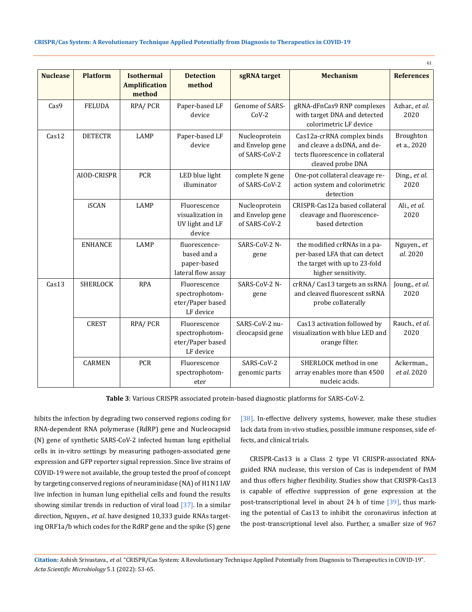|                 |                 |                                                     |                                                                   |                                                    |                                                                                                                       | 61                        |
|-----------------|-----------------|-----------------------------------------------------|-------------------------------------------------------------------|----------------------------------------------------|-----------------------------------------------------------------------------------------------------------------------|---------------------------|
| <b>Nuclease</b> | <b>Platform</b> | <b>Isothermal</b><br><b>Amplification</b><br>method | <b>Detection</b><br>method                                        | sgRNA target                                       | <b>Mechanism</b>                                                                                                      | <b>References</b>         |
| Cas9            | <b>FELUDA</b>   | RPA/PCR                                             | Paper-based LF<br>device                                          | Genome of SARS-<br>$CoV-2$                         | gRNA-dFnCas9 RNP complexes<br>with target DNA and detected<br>colorimetric LF device                                  | Azhar., et al.<br>2020    |
| Cas12           | <b>DETECTR</b>  | <b>LAMP</b>                                         | Paper-based LF<br>device                                          | Nucleoprotein<br>and Envelop gene<br>of SARS-CoV-2 | Cas12a-crRNA complex binds<br>and cleave a dsDNA, and de-<br>tects fluorescence in collateral<br>cleaved probe DNA    | Broughton<br>et a., 2020  |
|                 | AIOD-CRISPR     | PCR                                                 | LED blue light<br>illuminator                                     | complete N gene<br>of SARS-CoV-2                   | One-pot collateral cleavage re-<br>action system and colorimetric<br>detection                                        | Ding., et al.<br>2020     |
|                 | iSCAN           | <b>LAMP</b>                                         | Fluorescence<br>visualization in<br>UV light and LF<br>device     | Nucleoprotein<br>and Envelop gene<br>of SARS-CoV-2 | CRISPR-Cas12a based collateral<br>cleavage and fluorescence-<br>based detection                                       | Ali., et al.<br>2020      |
|                 | <b>ENHANCE</b>  | <b>LAMP</b>                                         | fluorescence-<br>based and a<br>paper-based<br>lateral flow assay | SARS-CoV-2 N-<br>gene                              | the modified crRNAs in a pa-<br>per-based LFA that can detect<br>the target with up to 23-fold<br>higher sensitivity. | Nguyen., et<br>al. 2020   |
| Cas13           | <b>SHERLOCK</b> | <b>RPA</b>                                          | Fluorescence<br>spectrophotom-<br>eter/Paper based<br>LF device   | SARS-CoV-2 N-<br>gene                              | crRNA/ Cas13 targets an ssRNA<br>and cleaved fluorescent ssRNA<br>probe collaterally                                  | Joung., et al.<br>2020    |
|                 | <b>CREST</b>    | RPA/PCR                                             | Fluorescence<br>spectrophotom-<br>eter/Paper based<br>LF device   | SARS-CoV-2 nu-<br>cleocapsid gene                  | Cas13 activation followed by<br>visualization with blue LED and<br>orange filter.                                     | Rauch., et al.<br>2020    |
|                 | <b>CARMEN</b>   | PCR                                                 | Fluorescence<br>spectrophotom-<br>eter                            | SARS-CoV-2<br>genomic parts                        | SHERLOCK method in one<br>array enables more than 4500<br>nucleic acids.                                              | Ackerman.,<br>et al. 2020 |

**Table 3**: Various CRISPR associated protein-based diagnostic platforms for SARS-CoV-2.

hibits the infection by degrading two conserved regions coding for RNA-dependent RNA polymerase (RdRP) gene and Nucleocapsid (N) gene of synthetic SARS-CoV-2 infected human lung epithelial cells in in-vitro settings by measuring pathogen-associated gene expression and GFP reporter signal repression. Since live strains of COVID-19 were not available, the group tested the proof of concept by targeting conserved regions of neuraminidase (NA) of H1N1 IAV live infection in human lung epithelial cells and found the results showing similar trends in reduction of viral load [37]. In a similar direction, Nguyen., *et al*. have designed 10,333 guide RNAs targeting ORF1a/b which codes for the RdRP gene and the spike (S) gene

[38]. In-effective delivery systems, however, make these studies lack data from in-vivo studies, possible immune responses, side effects, and clinical trials.

CRISPR-Cas13 is a Class 2 type VI CRISPR-associated RNAguided RNA nuclease, this version of Cas is independent of PAM and thus offers higher flexibility. Studies show that CRISPR-Cas13 is capable of effective suppression of gene expression at the post-transcriptional level in about 24 h of time [39], thus marking the potential of Cas13 to inhibit the coronavirus infection at the post-transcriptional level also. Further, a smaller size of 967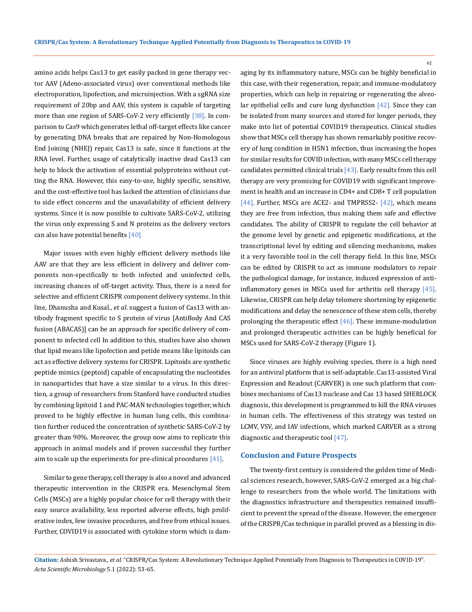amino acids helps Cas13 to get easily packed in gene therapy vector AAV (Adeno-associated virus) over conventional methods like electroporation, lipofection, and microinjection. With a sgRNA size requirement of 20bp and AAV, this system is capable of targeting more than one region of SARS-CoV-2 very efficiently [38]. In comparison to Cas9 which generates lethal off-target effects like cancer by generating DNA breaks that are repaired by Non-Homologous End Joining (NHEJ) repair, Cas13 is safe, since it functions at the RNA level. Further, usage of catalytically inactive dead Cas13 can help to block the activation of essential polyproteins without cutting the RNA. However, this easy-to-use, highly specific, sensitive, and the cost-effective tool has lacked the attention of clinicians due to side effect concerns and the unavailability of efficient delivery systems. Since it is now possible to cultivate SARS-CoV-2, utilizing the virus only expressing S and N proteins as the delivery vectors can also have potential benefits  $[40]$ .

Major issues with even highly efficient delivery methods like AAV are that they are less efficient in delivery and deliver components non-specifically to both infected and uninfected cells, increasing chances of off-target activity. Thus, there is a need for selective and efficient CRISPR component delivery systems. In this line, Dhanusha and Kusal., *et al*. suggest a fusion of Cas13 with antibody fragment specific to S protein of virus [AntiBody And CAS fusion (ABACAS)] can be an approach for specific delivery of component to infected cell In addition to this, studies have also shown that lipid means like lipofection and petide means like lipitoids can act as effective delivery systems for CRISPR. Lipitoids are synthetic peptide mimics (peptoid) capable of encapsulating the nucleotides in nanoparticles that have a size similar to a virus. In this direction, a group of researchers from Stanford have conducted studies by combining lipitoid 1 and PAC-MAN technologies together, which proved to be highly effective in human lung cells, this combination further reduced the concentration of synthetic SARS-CoV-2 by greater than 90%. Moreover, the group now aims to replicate this approach in animal models and if proven successful they further aim to scale up the experiments for pre-clinical procedures [41].

Similar to gene therapy, cell therapy is also a novel and advanced therapeutic intervention in the CRISPR era. Mesenchymal Stem Cells (MSCs) are a highly popular choice for cell therapy with their easy source availability, less reported adverse effects, high proliferative index, few invasive procedures, and free from ethical issues. Further, COVID19 is associated with cytokine storm which is damaging by its inflammatory nature, MSCs can be highly beneficial in this case, with their regeneration, repair, and immune-modulatory properties, which can help in repairing or regenerating the alveolar epithelial cells and cure lung dysfunction  $[42]$ . Since they can be isolated from many sources and stored for longer periods, they make into list of potential COVID19 therapeutics. Clinical studies show that MSCs cell therapy has shown remarkably positive recovery of lung condition in H5N1 infection, thus increasing the hopes for similar results for COVID infection, with many MSCs cell therapy candidates permitted clinical trials [43]. Early results from this cell therapy are very promising for COVID19 with significant improvement in health and an increase in CD4+ and CD8+ T cell population [44]. Further, MSCs are ACE2- and TMPRSS2- [42], which means they are free from infection, thus making them safe and effective candidates. The ability of CRISPR to regulate the cell behavior at the genome level by genetic and epigenetic modifications, at the transcriptional level by editing and silencing mechanisms, makes it a very favorable tool in the cell therapy field. In this line, MSCs can be edited by CRISPR to act as immune modulators to repair the pathological damage, for instance, induced expression of antiinflammatory genes in MSCs used for arthritis cell therapy [45]. Likewise, CRISPR can help delay telomere shortening by epigenetic modifications and delay the senescence of these stem cells, thereby prolonging the therapeutic effect [46]. These immune-modulation and prolonged therapeutic activities can be highly beneficial for MSCs used for SARS-CoV-2 therapy (Figure 1).

Since viruses are highly evolving species, there is a high need for an antiviral platform that is self-adaptable. Cas13-assisted Viral Expression and Readout (CARVER) is one such platform that combines mechanisms of Cas13 nuclease and Cas 13 based SHERLOCK diagnosis, this development is programmed to kill the RNA viruses in human cells. The effectiveness of this strategy was tested on LCMV, VSV, and IAV infections, which marked CARVER as a strong diagnostic and therapeutic tool [47].

# **Conclusion and Future Prospects**

The twenty-first century is considered the golden time of Medical sciences research, however, SARS-CoV-2 emerged as a big challenge to researchers from the whole world. The limitations with the diagnostics infrastructure and therapeutics remained insufficient to prevent the spread of the disease. However, the emergence of the CRISPR/Cas technique in parallel proved as a blessing in dis-

**Citation:** Ashish Srivastava*., et al.* "CRISPR/Cas System: A Revolutionary Technique Applied Potentially from Diagnosis to Therapeutics in COVID-19". *Acta Scientific Microbiology* 5.1 (2022): 53-65.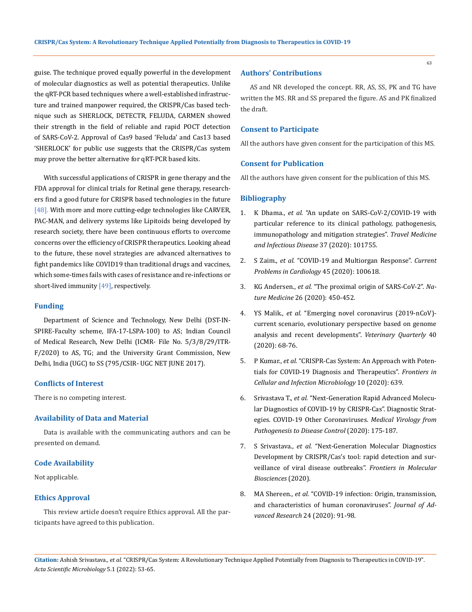guise. The technique proved equally powerful in the development of molecular diagnostics as well as potential therapeutics. Unlike the qRT-PCR based techniques where a well-established infrastructure and trained manpower required, the CRISPR/Cas based technique such as SHERLOCK, DETECTR, FELUDA, CARMEN showed their strength in the field of reliable and rapid POCT detection of SARS-CoV-2. Approval of Cas9 based 'Feluda' and Cas13 based 'SHERLOCK' for public use suggests that the CRISPR/Cas system may prove the better alternative for qRT-PCR based kits.

With successful applications of CRISPR in gene therapy and the FDA approval for clinical trials for Retinal gene therapy, researchers find a good future for CRISPR based technologies in the future [48]. With more and more cutting-edge technologies like CARVER, PAC-MAN, and delivery systems like Lipitoids being developed by research society, there have been continuous efforts to overcome concerns over the efficiency of CRISPR therapeutics. Looking ahead to the future, these novel strategies are advanced alternatives to fight pandemics like COVID19 than traditional drugs and vaccines, which some-times fails with cases of resistance and re-infections or short-lived immunity  $[49]$ , respectively.

# **Funding**

Department of Science and Technology, New Delhi (DST-IN-SPIRE-Faculty scheme, IFA-17-LSPA-100) to AS; Indian Council of Medical Research, New Delhi (ICMR- File No. 5/3/8/29/ITR-F/2020) to AS, TG; and the University Grant Commission, New Delhi, India (UGC) to SS (795/CSIR- UGC NET JUNE 2017).

### **Conflicts of Interest**

There is no competing interest.

# **Availability of Data and Material**

Data is available with the communicating authors and can be presented on demand.

# **Code Availability**

Not applicable.

### **Ethics Approval**

This review article doesn't require Ethics approval. All the participants have agreed to this publication.

### **Authors' Contributions**

AS and NR developed the concept. RR, AS, SS, PK and TG have written the MS. RR and SS prepared the figure. AS and PK finalized the draft.

# **Consent to Participate**

All the authors have given consent for the participation of this MS.

# **Consent for Publication**

All the authors have given consent for the publication of this MS.

#### **Bibliography**

- 1. K Dhama., *et al.* ["An update on SARS-CoV-2/COVID-19 with](https://www.sciencedirect.com/science/article/pii/S1477893920302349?via%3Dihub)  [particular reference to its clinical pathology, pathogenesis,](https://www.sciencedirect.com/science/article/pii/S1477893920302349?via%3Dihub)  [immunopathology and mitigation strategies".](https://www.sciencedirect.com/science/article/pii/S1477893920302349?via%3Dihub) *Travel Medicine and Infectious Disease* [37 \(2020\): 101755.](https://www.sciencedirect.com/science/article/pii/S1477893920302349?via%3Dihub)
- 2. S Zaim., *et al.* ["COVID-19 and Multiorgan Response".](https://www.sciencedirect.com/science/article/pii/S0146280620300955?via%3Dihub) *Current [Problems in Cardiology](https://www.sciencedirect.com/science/article/pii/S0146280620300955?via%3Dihub)* 45 (2020): 100618.
- 3. KG Andersen., *et al.* ["The proximal origin of SARS-CoV-2".](https://www.nature.com/articles/s41591-020-0820-9) *Nature Medicine* [26 \(2020\): 450-452.](https://www.nature.com/articles/s41591-020-0820-9)
- 4. YS Malik., *et al.* ["Emerging novel coronavirus \(2019-nCoV\)](https://www.tandfonline.com/doi/full/10.1080/01652176.2020.1727993) [current scenario, evolutionary perspective based on genome](https://www.tandfonline.com/doi/full/10.1080/01652176.2020.1727993)  [analysis and recent developments".](https://www.tandfonline.com/doi/full/10.1080/01652176.2020.1727993) *Veterinary Quarterly* 40 [\(2020\): 68-76.](https://www.tandfonline.com/doi/full/10.1080/01652176.2020.1727993)
- 5. P Kumar., *et al.* ["CRISPR-Cas System: An Approach with Poten](https://www.frontiersin.org/articles/10.3389/fcimb.2020.576875/full)[tials for COVID-19 Diagnosis and Therapeutics".](https://www.frontiersin.org/articles/10.3389/fcimb.2020.576875/full) *Frontiers in [Cellular and Infection Microbiology](https://www.frontiersin.org/articles/10.3389/fcimb.2020.576875/full)* 10 (2020): 639.
- 6. Srivastava T., *et al.* ["Next-Generation Rapid Advanced Molecu](https://link.springer.com/chapter/10.1007%2F978-981-15-6006-4_9)[lar Diagnostics of COVID-19 by CRISPR-Cas". Diagnostic Strat](https://link.springer.com/chapter/10.1007%2F978-981-15-6006-4_9)[egies. COVID-19 Other Coronaviruses.](https://link.springer.com/chapter/10.1007%2F978-981-15-6006-4_9) *Medical Virology from [Pathogenesis to Disease Control](https://link.springer.com/chapter/10.1007%2F978-981-15-6006-4_9)* (2020): 175-187.
- 7. S Srivastava., *et al.* ["Next-Generation Molecular Diagnostics](https://www.frontiersin.org/articles/10.3389/fmolb.2020.582499/full)  [Development by CRISPR/Cas's tool: rapid detection and sur](https://www.frontiersin.org/articles/10.3389/fmolb.2020.582499/full)[veillance of viral disease outbreaks".](https://www.frontiersin.org/articles/10.3389/fmolb.2020.582499/full) *Frontiers in Molecular [Biosciences](https://www.frontiersin.org/articles/10.3389/fmolb.2020.582499/full)* (2020).
- 8. MA Shereen., *et al.* ["COVID-19 infection: Origin, transmission,](https://www.sciencedirect.com/science/article/pii/S2090123220300540?via%3Dihub)  [and characteristics of human coronaviruses".](https://www.sciencedirect.com/science/article/pii/S2090123220300540?via%3Dihub) *Journal of Ad[vanced Research](https://www.sciencedirect.com/science/article/pii/S2090123220300540?via%3Dihub)* 24 (2020): 91-98.

**Citation:** Ashish Srivastava*., et al.* "CRISPR/Cas System: A Revolutionary Technique Applied Potentially from Diagnosis to Therapeutics in COVID-19". *Acta Scientific Microbiology* 5.1 (2022): 53-65.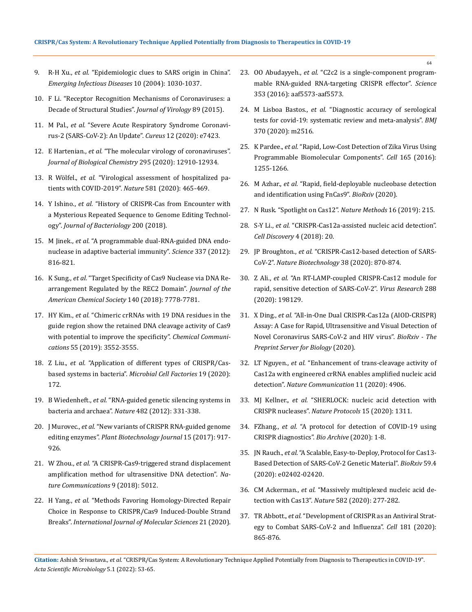- 9. R-H Xu., *et al.* ["Epidemiologic clues to SARS origin in China".](https://wwwnc.cdc.gov/eid/article/10/6/03-0852_article)  *[Emerging Infectious Diseases](https://wwwnc.cdc.gov/eid/article/10/6/03-0852_article)* 10 (2004): 1030-1037.
- 10. [F Li. "Receptor Recognition Mechanisms of Coronaviruses: a](https://journals.asm.org/doi/10.1128/JVI.02615-14)  [Decade of Structural Studies".](https://journals.asm.org/doi/10.1128/JVI.02615-14) *Journal of Virology* 89 (2015).
- 11. M Pal., *et al.* ["Severe Acute Respiratory Syndrome Coronavi](https://www.cureus.com/articles/29589-severe-acute-respiratory-syndrome-coronavirus-2-sars-cov-2-an-update)[rus-2 \(SARS-CoV-2\): An Update".](https://www.cureus.com/articles/29589-severe-acute-respiratory-syndrome-coronavirus-2-sars-cov-2-an-update) *Cureus* 12 (2020): e7423.
- 12. E Hartenian., *et al.* ["The molecular virology of coronaviruses".](https://www.jbc.org/article/S0021-9258(17)49954-6/fulltext)  *[Journal of Biological Chemistry](https://www.jbc.org/article/S0021-9258(17)49954-6/fulltext)* 295 (2020): 12910-12934.
- 13. R Wölfel., *et al.* ["Virological assessment of hospitalized pa](https://www.nature.com/articles/s41586-020-2196-x)[tients with COVID-2019".](https://www.nature.com/articles/s41586-020-2196-x) *Nature* 581 (2020): 465-469.
- 14. Y Ishino., *et al.* ["History of CRISPR-Cas from Encounter with](https://journals.asm.org/doi/10.1128/JB.00580-17)  [a Mysterious Repeated Sequence to Genome Editing Technol](https://journals.asm.org/doi/10.1128/JB.00580-17)ogy". *[Journal of Bacteriology](https://journals.asm.org/doi/10.1128/JB.00580-17)* 200 (2018).
- 15. M Jinek., *et al.* ["A programmable dual-RNA-guided DNA endo](https://www.science.org/doi/10.1126/science.1225829)[nuclease in adaptive bacterial immunity".](https://www.science.org/doi/10.1126/science.1225829) *Science* 337 (2012): [816-821.](https://www.science.org/doi/10.1126/science.1225829)
- 16. K Sung., *et al.* ["Target Specificity of Cas9 Nuclease via DNA Re](https://pubs.acs.org/doi/10.1021/jacs.8b03102)[arrangement Regulated by the REC2 Domain".](https://pubs.acs.org/doi/10.1021/jacs.8b03102) *Journal of the [American Chemical Society](https://pubs.acs.org/doi/10.1021/jacs.8b03102)* 140 (2018): 7778-7781.
- 17. HY Kim., *et al.* ["Chimeric crRNAs with 19 DNA residues in the](https://pubs.rsc.org/en/content/articlelanding/2019/CC/C8CC08468H)  [guide region show the retained DNA cleavage activity of Cas9](https://pubs.rsc.org/en/content/articlelanding/2019/CC/C8CC08468H)  [with potential to improve the specificity".](https://pubs.rsc.org/en/content/articlelanding/2019/CC/C8CC08468H) *Chemical Communications* [55 \(2019\): 3552-3555.](https://pubs.rsc.org/en/content/articlelanding/2019/CC/C8CC08468H)
- 18. Z Liu., *et al.* ["Application of different types of CRISPR/Cas](https://microbialcellfactories.biomedcentral.com/articles/10.1186/s12934-020-01431-z)[based systems in bacteria".](https://microbialcellfactories.biomedcentral.com/articles/10.1186/s12934-020-01431-z) *Microbial Cell Factories* 19 (2020): [172.](https://microbialcellfactories.biomedcentral.com/articles/10.1186/s12934-020-01431-z)
- 19. B Wiedenheft., *et al.* ["RNA-guided genetic silencing systems in](https://www.nature.com/articles/nature10886)  [bacteria and archaea".](https://www.nature.com/articles/nature10886) *Nature* 482 (2012): 331-338.
- 20. J Murovec., *et al.* ["New variants of CRISPR RNA-guided genome](https://onlinelibrary.wiley.com/doi/10.1111/pbi.12736)  editing enzymes". *[Plant Biotechnology](https://onlinelibrary.wiley.com/doi/10.1111/pbi.12736) Journal* 15 (2017): 917- [926.](https://onlinelibrary.wiley.com/doi/10.1111/pbi.12736)
- 21. W Zhou., *et al.* ["A CRISPR-Cas9-triggered strand displacement](https://www.nature.com/articles/s41467-018-07324-5)  [amplification method for ultrasensitive DNA detection".](https://www.nature.com/articles/s41467-018-07324-5) *Na[ture Communications](https://www.nature.com/articles/s41467-018-07324-5)* 9 (2018): 5012.
- 22. H Yang., *et al.* ["Methods Favoring Homology-Directed Repair](https://www.mdpi.com/1422-0067/21/18/6461)  [Choice in Response to CRISPR/Cas9 Induced-Double Strand](https://www.mdpi.com/1422-0067/21/18/6461)  Breaks". *[International Journal of Molecular Sciences](https://www.mdpi.com/1422-0067/21/18/6461)* 21 (2020).
- 23. OO Abudayyeh., *et al.* ["C2c2 is a single-component program](https://pubmed.ncbi.nlm.nih.gov/27256883/)[mable RNA-guided RNA-targeting CRISPR effector".](https://pubmed.ncbi.nlm.nih.gov/27256883/) *Science* [353 \(2016\): aaf5573-aaf5573.](https://pubmed.ncbi.nlm.nih.gov/27256883/)
- 24. M Lisboa Bastos., *et al.* ["Diagnostic accuracy of serological](https://www.bmj.com/content/370/bmj.m2516)  [tests for covid-19: systematic review and meta-analysis".](https://www.bmj.com/content/370/bmj.m2516) *BMJ* [370 \(2020\): m2516.](https://www.bmj.com/content/370/bmj.m2516)
- 25. K Pardee., *et al.* ["Rapid, Low-Cost Detection of Zika Virus Using](https://www.cell.com/cell/fulltext/S0092-8674(16)30505-0?_returnURL=https%3A%2F%2Flinkinghub.elsevier.com%2Fretrieve%2Fpii%2FS0092867416305050%3Fshowall%3Dtrue)  [Programmable Biomolecular Components".](https://www.cell.com/cell/fulltext/S0092-8674(16)30505-0?_returnURL=https%3A%2F%2Flinkinghub.elsevier.com%2Fretrieve%2Fpii%2FS0092867416305050%3Fshowall%3Dtrue) *Cell* 165 (2016): [1255-1266.](https://www.cell.com/cell/fulltext/S0092-8674(16)30505-0?_returnURL=https%3A%2F%2Flinkinghub.elsevier.com%2Fretrieve%2Fpii%2FS0092867416305050%3Fshowall%3Dtrue)
- 26. M Azhar., *et al.* ["Rapid, field-deployable nucleobase detection](https://www.biorxiv.org/content/10.1101/2020.04.07.028167v2)  [and identification using FnCas9".](https://www.biorxiv.org/content/10.1101/2020.04.07.028167v2) *BioRxiv* (2020).
- 27. [N Rusk. "Spotlight on Cas12".](https://www.nature.com/articles/s41592-019-0347-5) *Nature Methods* 16 (2019): 215.
- 28. S-Y Li., *et al.* ["CRISPR-Cas12a-assisted nucleic acid detection".](https://www.nature.com/articles/s41421-018-0028-z)  *[Cell Discovery](https://www.nature.com/articles/s41421-018-0028-z)* 4 (2018): 20.
- 29. JP Broughton., *et al.* ["CRISPR-Cas12-based detection of SARS-](https://www.nature.com/articles/s41587-020-0513-4)CoV-2". *[Nature Biotechnology](https://www.nature.com/articles/s41587-020-0513-4)* 38 (2020): 870-874.
- 30. Z Ali., *et al.* ["An RT-LAMP-coupled CRISPR-Cas12 module for](https://www.sciencedirect.com/science/article/pii/S0168170220310364?via%3Dihub)  [rapid, sensitive detection of SARS-CoV-2".](https://www.sciencedirect.com/science/article/pii/S0168170220310364?via%3Dihub) *Virus Research* 288 [\(2020\): 198129.](https://www.sciencedirect.com/science/article/pii/S0168170220310364?via%3Dihub)
- 31. X Ding., *et al.* ["All-in-One Dual CRISPR-Cas12a \(AIOD-CRISPR\)](https://www.biorxiv.org/content/10.1101/2020.03.19.998724v1)  [Assay: A Case for Rapid, Ultrasensitive and Visual Detection of](https://www.biorxiv.org/content/10.1101/2020.03.19.998724v1)  [Novel Coronavirus SARS-CoV-2 and HIV virus".](https://www.biorxiv.org/content/10.1101/2020.03.19.998724v1) *BioRxiv - The [Preprint Server](https://www.biorxiv.org/content/10.1101/2020.03.19.998724v1) for Biology* (2020).
- 32. LT Nguyen., *et al.* ["Enhancement of trans-cleavage activity of](https://www.nature.com/articles/s41467-020-18615-1)  [Cas12a with engineered crRNA enables amplified nucleic acid](https://www.nature.com/articles/s41467-020-18615-1)  detection". *[Nature Communication](https://www.nature.com/articles/s41467-020-18615-1)* 11 (2020): 4906.
- 33. MJ Kellner., *et al.* ["SHERLOCK: nucleic acid detection with](https://www.nature.com/articles/s41596-020-0302-z)  CRISPR nucleases". *[Nature Protocols](https://www.nature.com/articles/s41596-020-0302-z)* 15 (2020): 1311.
- 34. FZhang., *et al.* ["A protocol for detection of COVID-19 using](https://www.broadinstitute.org/files/publications/special/COVID-19%20detection%20(updated).pdf)  [CRISPR diagnostics".](https://www.broadinstitute.org/files/publications/special/COVID-19%20detection%20(updated).pdf) *Bio Archive* (2020): 1-8.
- 35. JN Rauch., *et al.* ["A Scalable, Easy-to-Deploy, Protocol for Cas13-](file:///D:/AS/ASMI/ASMI-21-RW-361/JN%20Rauch.,%20et%20al.%20“A%20Scalable,%20Easy-to-Deploy,%20Protocol%20for%20Cas13-Based%20Detection%20of%20SARS-CoV-2%20Genetic%20Material”.%20BioRxiv%2059.4%20(2020)e02402-02420.) [Based Detection of SARS-CoV-2 Genetic Material".](file:///D:/AS/ASMI/ASMI-21-RW-361/JN%20Rauch.,%20et%20al.%20“A%20Scalable,%20Easy-to-Deploy,%20Protocol%20for%20Cas13-Based%20Detection%20of%20SARS-CoV-2%20Genetic%20Material”.%20BioRxiv%2059.4%20(2020)e02402-02420.) *BioRxiv* 59.4 [\(2020\): e02402-02420.](file:///D:/AS/ASMI/ASMI-21-RW-361/JN%20Rauch.,%20et%20al.%20“A%20Scalable,%20Easy-to-Deploy,%20Protocol%20for%20Cas13-Based%20Detection%20of%20SARS-CoV-2%20Genetic%20Material”.%20BioRxiv%2059.4%20(2020)e02402-02420.)
- 36. CM Ackerman., *et al.* ["Massively multiplexed nucleic acid de](https://www.nature.com/articles/s41586-020-2279-8)tection with Cas13". *Nature* [582 \(2020\): 277-282.](https://www.nature.com/articles/s41586-020-2279-8)
- 37. TR Abbott., *et al.* ["Development of CRISPR as an Antiviral Strat](https://www.cell.com/cell/fulltext/S0092-8674(20)30483-9?_returnURL=https%3A%2F%2Flinkinghub.elsevier.com%2Fretrieve%2Fpii%2FS0092867420304839%3Fshowall%3Dtrue)[egy to Combat SARS-CoV-2 and Influenza".](https://www.cell.com/cell/fulltext/S0092-8674(20)30483-9?_returnURL=https%3A%2F%2Flinkinghub.elsevier.com%2Fretrieve%2Fpii%2FS0092867420304839%3Fshowall%3Dtrue) *Cell* 181 (2020): [865-876.](https://www.cell.com/cell/fulltext/S0092-8674(20)30483-9?_returnURL=https%3A%2F%2Flinkinghub.elsevier.com%2Fretrieve%2Fpii%2FS0092867420304839%3Fshowall%3Dtrue)

**Citation:** Ashish Srivastava*., et al.* "CRISPR/Cas System: A Revolutionary Technique Applied Potentially from Diagnosis to Therapeutics in COVID-19". *Acta Scientific Microbiology* 5.1 (2022): 53-65.